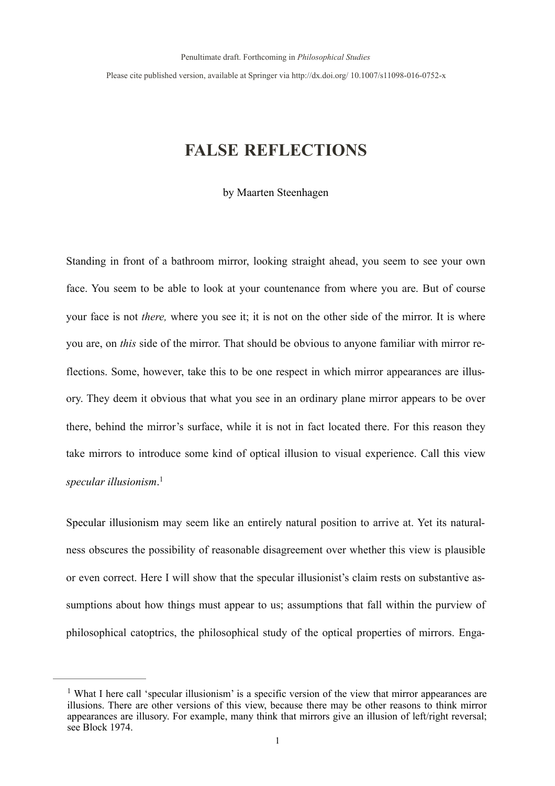Please cite published version, available at Springer via http://dx.doi.org/ 10.1007/s11098-016-0752-x

# **FALSE REFLECTIONS**

by Maarten Steenhagen

Standing in front of a bathroom mirror, looking straight ahead, you seem to see your own face. You seem to be able to look at your countenance from where you are. But of course your face is not *there,* where you see it; it is not on the other side of the mirror. It is where you are, on *this* side of the mirror. That should be obvious to anyone familiar with mirror reflections. Some, however, take this to be one respect in which mirror appearances are illusory. They deem it obvious that what you see in an ordinary plane mirror appears to be over there, behind the mirror's surface, while it is not in fact located there. For this reason they take mirrors to introduce some kind of optical illusion to visual experience. Call this view *specular illusionism*. [1](#page-0-0)

<span id="page-0-1"></span>Specular illusionism may seem like an entirely natural position to arrive at. Yet its naturalness obscures the possibility of reasonable disagreement over whether this view is plausible or even correct. Here I will show that the specular illusionist's claim rests on substantive assumptions about how things must appear to us; assumptions that fall within the purview of philosophical catoptrics, the philosophical study of the optical properties of mirrors. Enga-

<span id="page-0-0"></span><sup>&</sup>lt;sup>[1](#page-0-1)</sup> What I here call 'specular illusionism' is a specific version of the view that mirror appearances are illusions. There are other versions of this view, because there may be other reasons to think mirror appearances are illusory. For example, many think that mirrors give an illusion of left/right reversal; see Block 1974.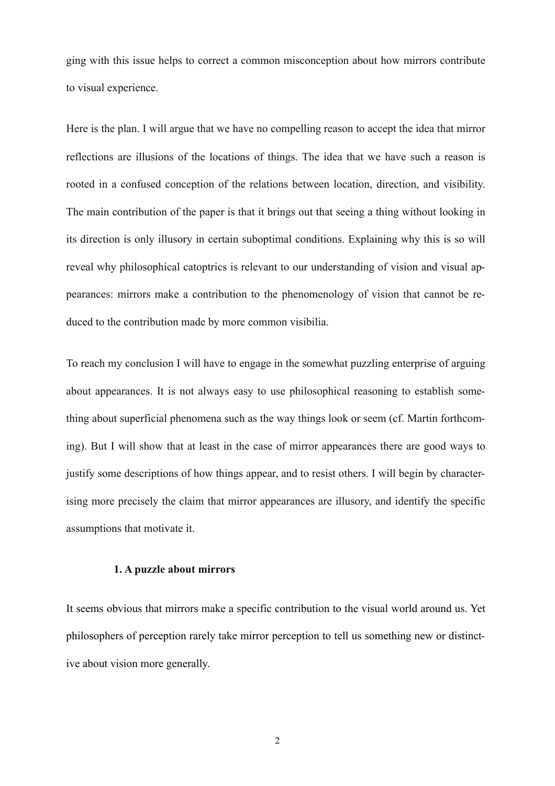ging with this issue helps to correct a common misconception about how mirrors contribute to visual experience.

Here is the plan. I will argue that we have no compelling reason to accept the idea that mirror reflections are illusions of the locations of things. The idea that we have such a reason is rooted in a confused conception of the relations between location, direction, and visibility. The main contribution of the paper is that it brings out that seeing a thing without looking in its direction is only illusory in certain suboptimal conditions. Explaining why this is so will reveal why philosophical catoptrics is relevant to our understanding of vision and visual appearances: mirrors make a contribution to the phenomenology of vision that cannot be reduced to the contribution made by more common visibilia.

To reach my conclusion I will have to engage in the somewhat puzzling enterprise of arguing about appearances. It is not always easy to use philosophical reasoning to establish something about superficial phenomena such as the way things look or seem (cf. Martin forthcoming). But I will show that at least in the case of mirror appearances there are good ways to justify some descriptions of how things appear, and to resist others. I will begin by characterising more precisely the claim that mirror appearances are illusory, and identify the specific assumptions that motivate it.

## **1. A puzzle about mirrors**

It seems obvious that mirrors make a specific contribution to the visual world around us. Yet philosophers of perception rarely take mirror perception to tell us something new or distinctive about vision more generally.

2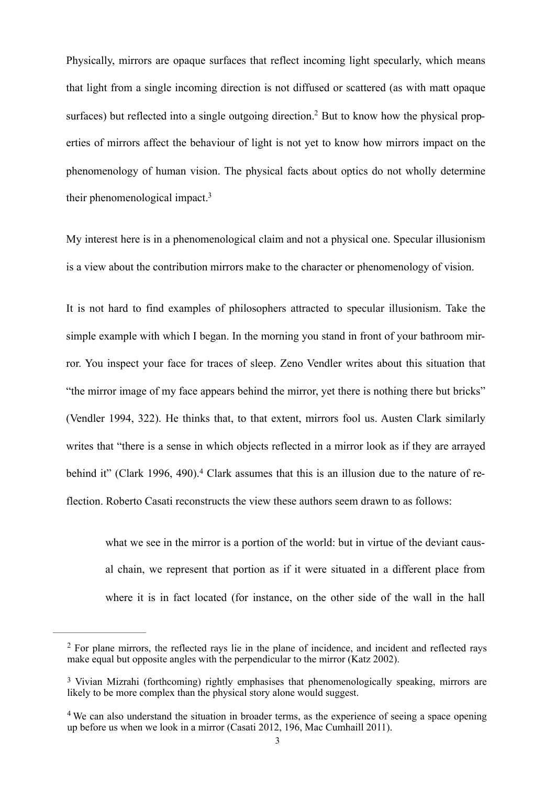<span id="page-2-3"></span>Physically, mirrors are opaque surfaces that reflect incoming light specularly, which means that light from a single incoming direction is not diffused or scattered (as with matt opaque surfaces) but reflected into a single outgoing direction[.](#page-2-0)<sup>2</sup> But to know how the physical properties of mirrors affect the behaviour of light is not yet to know how mirrors impact on the phenomenology of human vision. The physical facts about optics do not wholly determine their phenomenological impact[.3](#page-2-1)

<span id="page-2-4"></span>My interest here is in a phenomenological claim and not a physical one. Specular illusionism is a view about the contribution mirrors make to the character or phenomenology of vision.

It is not hard to find examples of philosophers attracted to specular illusionism. Take the simple example with which I began. In the morning you stand in front of your bathroom mirror. You inspect your face for traces of sleep. Zeno Vendler writes about this situation that "the mirror image of my face appears behind the mirror, yet there is nothing there but bricks" (Vendler 1994, 322). He thinks that, to that extent, mirrors fool us. Austen Clark similarly writes that "there is a sense in which objects reflected in a mirror look as if they are arrayed behindit" (Clark 1996, 490).<sup>4</sup> Clark assumes that this is an illusion due to the nature of reflection. Roberto Casati reconstructs the view these authors seem drawn to as follows:

<span id="page-2-5"></span>what we see in the mirror is a portion of the world: but in virtue of the deviant causal chain, we represent that portion as if it were situated in a different place from where it is in fact located (for instance, on the other side of the wall in the hall

<span id="page-2-0"></span> $2$  For plane mirrors, the reflected rays lie in the plane of incidence, and incident and reflected rays make equal but opposite angles with the perpendicular to the mirror (Katz 2002).

<span id="page-2-1"></span><sup>&</sup>lt;sup>[3](#page-2-4)</sup> Vivian Mizrahi (forthcoming) rightly emphasises that phenomenologically speaking, mirrors are likely to be more complex than the physical story alone would suggest.

<span id="page-2-2"></span><sup>&</sup>lt;sup>[4](#page-2-5)</sup> We can also understand the situation in broader terms, as the experience of seeing a space opening up before us when we look in a mirror (Casati 2012, 196, Mac Cumhaill 2011).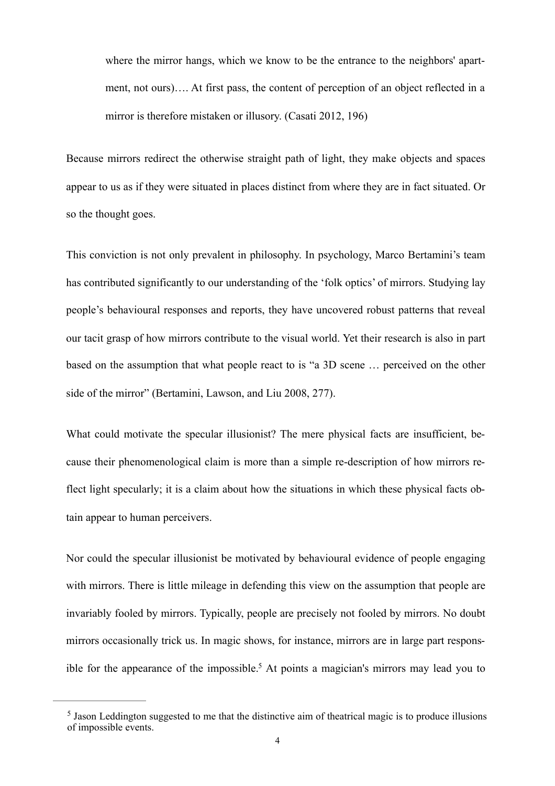where the mirror hangs, which we know to be the entrance to the neighbors' apartment, not ours)…. At first pass, the content of perception of an object reflected in a mirror is therefore mistaken or illusory. (Casati 2012, 196)

Because mirrors redirect the otherwise straight path of light, they make objects and spaces appear to us as if they were situated in places distinct from where they are in fact situated. Or so the thought goes.

This conviction is not only prevalent in philosophy. In psychology, Marco Bertamini's team has contributed significantly to our understanding of the 'folk optics' of mirrors. Studying lay people's behavioural responses and reports, they have uncovered robust patterns that reveal our tacit grasp of how mirrors contribute to the visual world. Yet their research is also in part based on the assumption that what people react to is "a 3D scene … perceived on the other side of the mirror" (Bertamini, Lawson, and Liu 2008, 277).

What could motivate the specular illusionist? The mere physical facts are insufficient, because their phenomenological claim is more than a simple re-description of how mirrors reflect light specularly; it is a claim about how the situations in which these physical facts obtain appear to human perceivers.

Nor could the specular illusionist be motivated by behavioural evidence of people engaging with mirrors. There is little mileage in defending this view on the assumption that people are invariably fooled by mirrors. Typically, people are precisely not fooled by mirrors. No doubt mirrors occasionally trick us. In magic shows, for instance, mirrors are in large part respons-ible for the appearance of the impossible[.](#page-3-0)<sup>[5](#page-3-0)</sup> At points a magician's mirrors may lead you to

<span id="page-3-1"></span><span id="page-3-0"></span><sup>&</sup>lt;sup>[5](#page-3-1)</sup> Jason Leddington suggested to me that the distinctive aim of theatrical magic is to produce illusions of impossible events.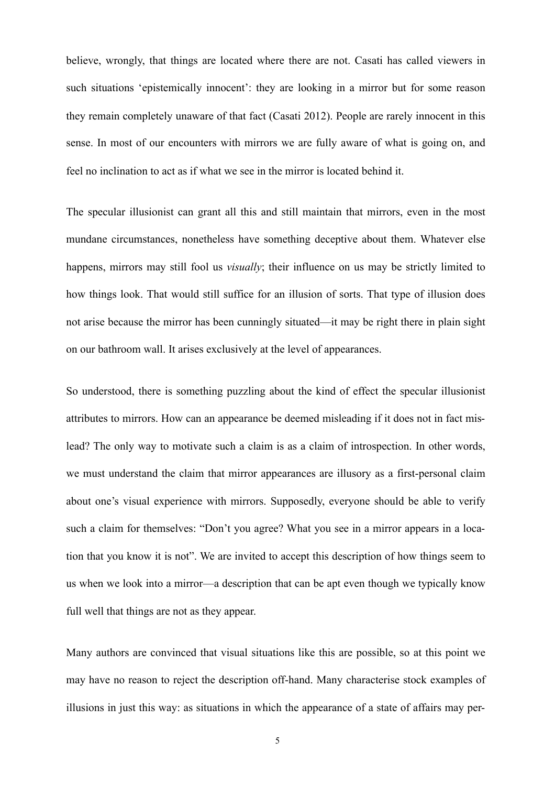believe, wrongly, that things are located where there are not. Casati has called viewers in such situations 'epistemically innocent': they are looking in a mirror but for some reason they remain completely unaware of that fact (Casati 2012). People are rarely innocent in this sense. In most of our encounters with mirrors we are fully aware of what is going on, and feel no inclination to act as if what we see in the mirror is located behind it.

The specular illusionist can grant all this and still maintain that mirrors, even in the most mundane circumstances, nonetheless have something deceptive about them. Whatever else happens, mirrors may still fool us *visually*; their influence on us may be strictly limited to how things look. That would still suffice for an illusion of sorts. That type of illusion does not arise because the mirror has been cunningly situated—it may be right there in plain sight on our bathroom wall. It arises exclusively at the level of appearances.

So understood, there is something puzzling about the kind of effect the specular illusionist attributes to mirrors. How can an appearance be deemed misleading if it does not in fact mislead? The only way to motivate such a claim is as a claim of introspection. In other words, we must understand the claim that mirror appearances are illusory as a first-personal claim about one's visual experience with mirrors. Supposedly, everyone should be able to verify such a claim for themselves: "Don't you agree? What you see in a mirror appears in a location that you know it is not". We are invited to accept this description of how things seem to us when we look into a mirror—a description that can be apt even though we typically know full well that things are not as they appear.

Many authors are convinced that visual situations like this are possible, so at this point we may have no reason to reject the description off-hand. Many characterise stock examples of illusions in just this way: as situations in which the appearance of a state of affairs may per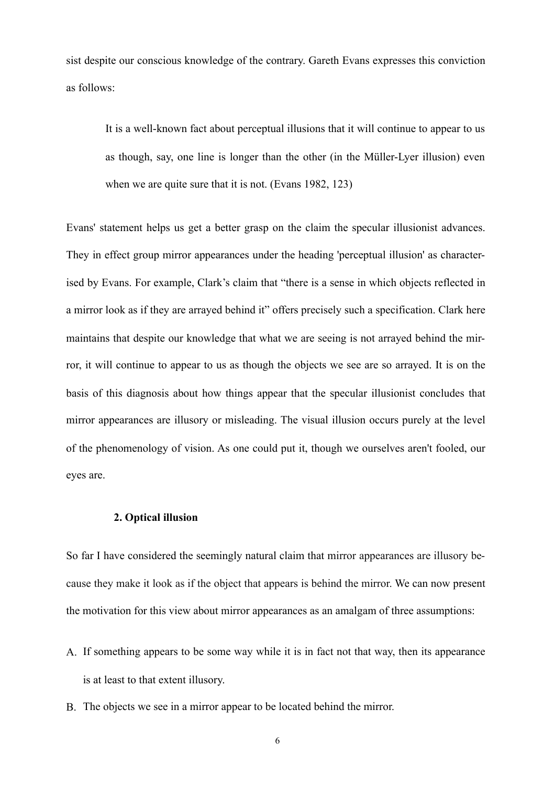sist despite our conscious knowledge of the contrary. Gareth Evans expresses this conviction as follows:

It is a well-known fact about perceptual illusions that it will continue to appear to us as though, say, one line is longer than the other (in the Müller-Lyer illusion) even when we are quite sure that it is not. (Evans 1982, 123)

Evans' statement helps us get a better grasp on the claim the specular illusionist advances. They in effect group mirror appearances under the heading 'perceptual illusion' as characterised by Evans. For example, Clark's claim that "there is a sense in which objects reflected in a mirror look as if they are arrayed behind it" offers precisely such a specification. Clark here maintains that despite our knowledge that what we are seeing is not arrayed behind the mirror, it will continue to appear to us as though the objects we see are so arrayed. It is on the basis of this diagnosis about how things appear that the specular illusionist concludes that mirror appearances are illusory or misleading. The visual illusion occurs purely at the level of the phenomenology of vision. As one could put it, though we ourselves aren't fooled, our eyes are.

## **2. Optical illusion**

So far I have considered the seemingly natural claim that mirror appearances are illusory because they make it look as if the object that appears is behind the mirror. We can now present the motivation for this view about mirror appearances as an amalgam of three assumptions:

- A. If something appears to be some way while it is in fact not that way, then its appearance is at least to that extent illusory.
- B. The objects we see in a mirror appear to be located behind the mirror.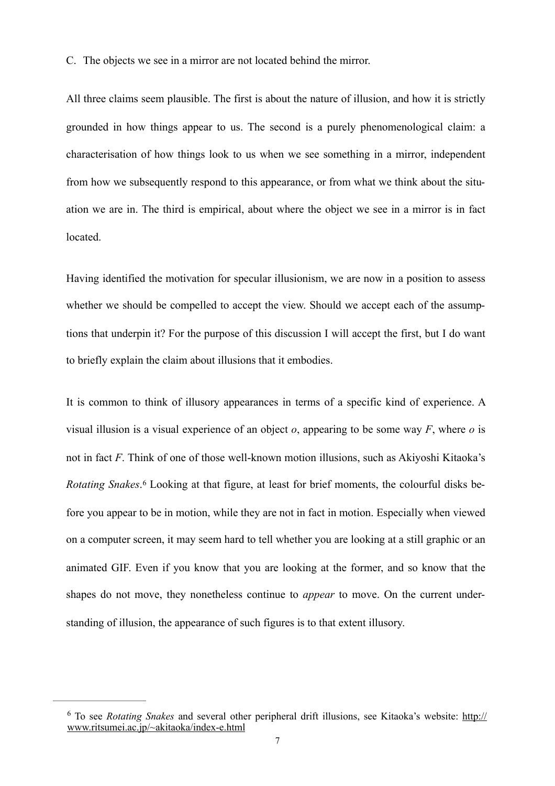C. The objects we see in a mirror are not located behind the mirror.

All three claims seem plausible. The first is about the nature of illusion, and how it is strictly grounded in how things appear to us. The second is a purely phenomenological claim: a characterisation of how things look to us when we see something in a mirror, independent from how we subsequently respond to this appearance, or from what we think about the situation we are in. The third is empirical, about where the object we see in a mirror is in fact located.

Having identified the motivation for specular illusionism, we are now in a position to assess whether we should be compelled to accept the view. Should we accept each of the assumptions that underpin it? For the purpose of this discussion I will accept the first, but I do want to briefly explain the claim about illusions that it embodies.

<span id="page-6-1"></span>It is common to think of illusory appearances in terms of a specific kind of experience. A visual illusion is a visual experience of an object *o*, appearing to be some way *F*, where *o* is not in fact *F*. Think of one of those well-known motion illusions, such as Akiyoshi Kitaoka's *RotatingSnakes*.<sup>6</sup> Looking at that figure, at least for brief moments, the colourful disks before you appear to be in motion, while they are not in fact in motion. Especially when viewed on a computer screen, it may seem hard to tell whether you are looking at a still graphic or an animated GIF. Even if you know that you are looking at the former, and so know that the shapes do not move, they nonetheless continue to *appear* to move. On the current understanding of illusion, the appearance of such figures is to that extent illusory.

<span id="page-6-0"></span>To see *Rotating Snakes* [and several other peripheral drift illusions, see Kitaoka's website: http://](http://www.ritsumei.ac.jp/~akitaoka/index-e.html) [6](#page-6-1) www.ritsumei.ac.jp/~akitaoka/index-e.html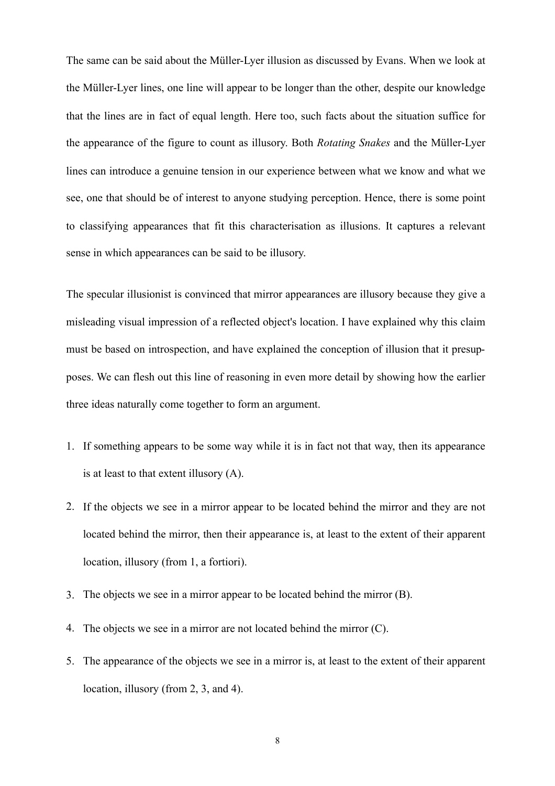The same can be said about the Müller-Lyer illusion as discussed by Evans. When we look at the Müller-Lyer lines, one line will appear to be longer than the other, despite our knowledge that the lines are in fact of equal length. Here too, such facts about the situation suffice for the appearance of the figure to count as illusory. Both *Rotating Snakes* and the Müller-Lyer lines can introduce a genuine tension in our experience between what we know and what we see, one that should be of interest to anyone studying perception. Hence, there is some point to classifying appearances that fit this characterisation as illusions. It captures a relevant sense in which appearances can be said to be illusory.

The specular illusionist is convinced that mirror appearances are illusory because they give a misleading visual impression of a reflected object's location. I have explained why this claim must be based on introspection, and have explained the conception of illusion that it presupposes. We can flesh out this line of reasoning in even more detail by showing how the earlier three ideas naturally come together to form an argument.

- 1. If something appears to be some way while it is in fact not that way, then its appearance is at least to that extent illusory (A).
- 2. If the objects we see in a mirror appear to be located behind the mirror and they are not located behind the mirror, then their appearance is, at least to the extent of their apparent location, illusory (from 1, a fortiori).
- 3. The objects we see in a mirror appear to be located behind the mirror (B).
- 4. The objects we see in a mirror are not located behind the mirror (C).
- 5. The appearance of the objects we see in a mirror is, at least to the extent of their apparent location, illusory (from 2, 3, and 4).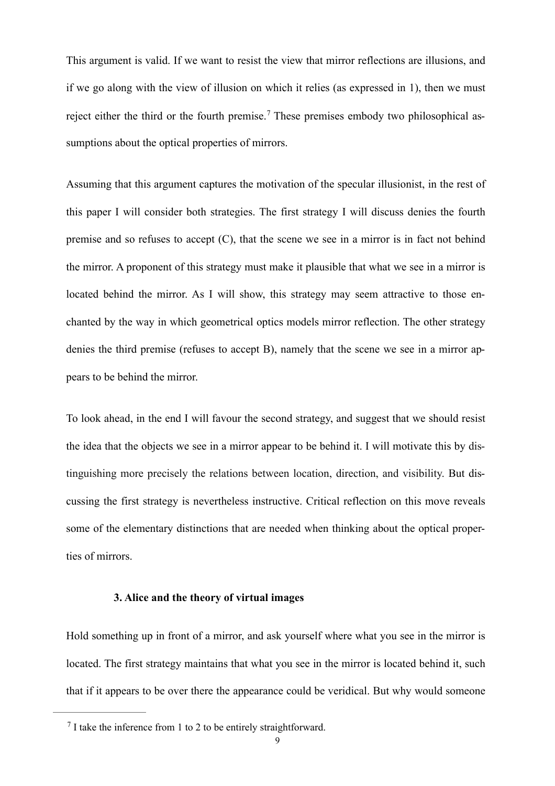This argument is valid. If we want to resist the view that mirror reflections are illusions, and if we go along with the view of illusion on which it relies (as expressed in 1), then we must rejecteither the third or the fourth premise.<sup>7</sup> These premises embody two philosophical assumptions about the optical properties of mirrors.

<span id="page-8-1"></span>Assuming that this argument captures the motivation of the specular illusionist, in the rest of this paper I will consider both strategies. The first strategy I will discuss denies the fourth premise and so refuses to accept  $(C)$ , that the scene we see in a mirror is in fact not behind the mirror. A proponent of this strategy must make it plausible that what we see in a mirror is located behind the mirror. As I will show, this strategy may seem attractive to those enchanted by the way in which geometrical optics models mirror reflection. The other strategy denies the third premise (refuses to accept B), namely that the scene we see in a mirror appears to be behind the mirror.

To look ahead, in the end I will favour the second strategy, and suggest that we should resist the idea that the objects we see in a mirror appear to be behind it. I will motivate this by distinguishing more precisely the relations between location, direction, and visibility. But discussing the first strategy is nevertheless instructive. Critical reflection on this move reveals some of the elementary distinctions that are needed when thinking about the optical properties of mirrors.

## **3. Alice and the theory of virtual images**

Hold something up in front of a mirror, and ask yourself where what you see in the mirror is located. The first strategy maintains that what you see in the mirror is located behind it, such that if it appears to be over there the appearance could be veridical. But why would someone

<span id="page-8-0"></span> $<sup>7</sup>$  $<sup>7</sup>$  $<sup>7</sup>$  I take the inference from 1 to 2 to be entirely straightforward.</sup>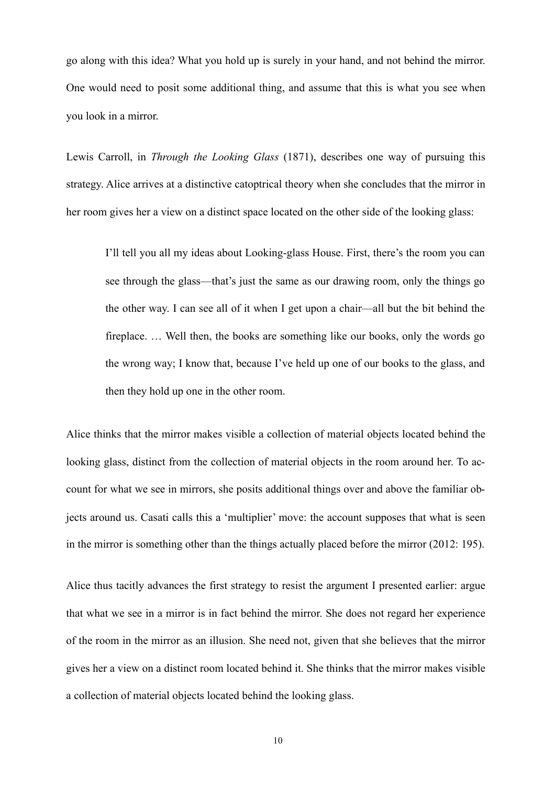go along with this idea? What you hold up is surely in your hand, and not behind the mirror. One would need to posit some additional thing, and assume that this is what you see when you look in a mirror.

Lewis Carroll, in *Through the Looking Glass* (1871), describes one way of pursuing this strategy. Alice arrives at a distinctive catoptrical theory when she concludes that the mirror in her room gives her a view on a distinct space located on the other side of the looking glass:

I'll tell you all my ideas about Looking-glass House. First, there's the room you can see through the glass—that's just the same as our drawing room, only the things go the other way. I can see all of it when I get upon a chair—all but the bit behind the fireplace. … Well then, the books are something like our books, only the words go the wrong way; I know that, because I've held up one of our books to the glass, and then they hold up one in the other room.

Alice thinks that the mirror makes visible a collection of material objects located behind the looking glass, distinct from the collection of material objects in the room around her. To account for what we see in mirrors, she posits additional things over and above the familiar objects around us. Casati calls this a 'multiplier' move: the account supposes that what is seen in the mirror is something other than the things actually placed before the mirror (2012: 195).

Alice thus tacitly advances the first strategy to resist the argument I presented earlier: argue that what we see in a mirror is in fact behind the mirror. She does not regard her experience of the room in the mirror as an illusion. She need not, given that she believes that the mirror gives her a view on a distinct room located behind it. She thinks that the mirror makes visible a collection of material objects located behind the looking glass.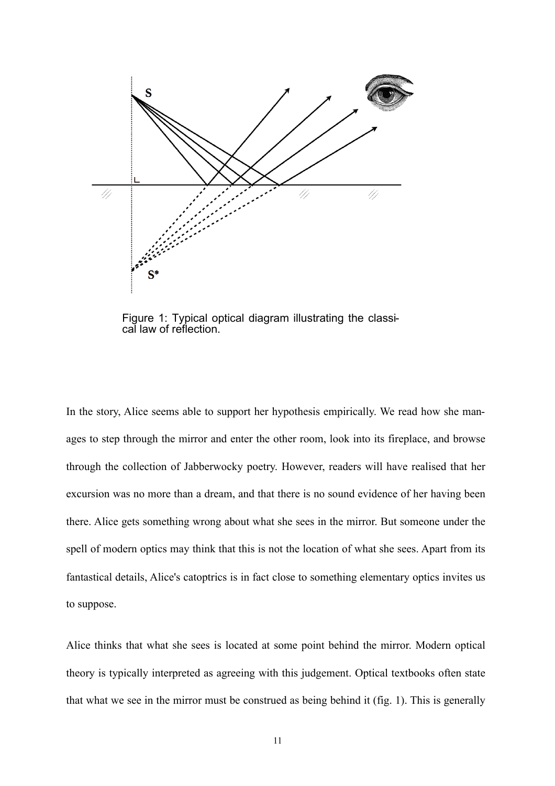

Figure 1: Typical optical diagram illustrating the classical law of reflection.

In the story, Alice seems able to support her hypothesis empirically. We read how she manages to step through the mirror and enter the other room, look into its fireplace, and browse through the collection of Jabberwocky poetry. However, readers will have realised that her excursion was no more than a dream, and that there is no sound evidence of her having been there. Alice gets something wrong about what she sees in the mirror. But someone under the spell of modern optics may think that this is not the location of what she sees. Apart from its fantastical details, Alice's catoptrics is in fact close to something elementary optics invites us to suppose.

Alice thinks that what she sees is located at some point behind the mirror. Modern optical theory is typically interpreted as agreeing with this judgement. Optical textbooks often state that what we see in the mirror must be construed as being behind it (fig. 1). This is generally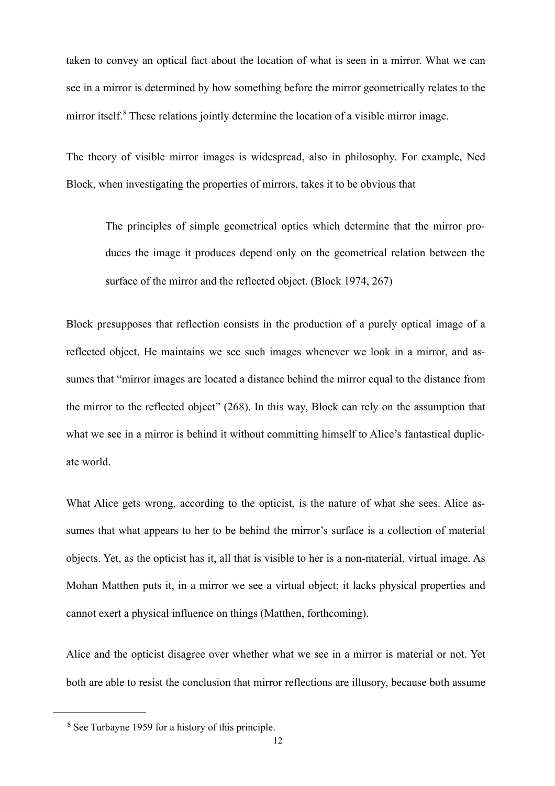taken to convey an optical fact about the location of what is seen in a mirror. What we can see in a mirror is determined by how something before the mirror geometrically relates to the mirroritself.<sup>8</sup> These relations jointly determine the location of a visible mirror image.

<span id="page-11-1"></span>The theory of visible mirror images is widespread, also in philosophy. For example, Ned Block, when investigating the properties of mirrors, takes it to be obvious that

The principles of simple geometrical optics which determine that the mirror produces the image it produces depend only on the geometrical relation between the surface of the mirror and the reflected object. (Block 1974, 267)

Block presupposes that reflection consists in the production of a purely optical image of a reflected object. He maintains we see such images whenever we look in a mirror, and assumes that "mirror images are located a distance behind the mirror equal to the distance from the mirror to the reflected object" (268). In this way, Block can rely on the assumption that what we see in a mirror is behind it without committing himself to Alice's fantastical duplicate world.

What Alice gets wrong, according to the opticist, is the nature of what she sees. Alice assumes that what appears to her to be behind the mirror's surface is a collection of material objects. Yet, as the opticist has it, all that is visible to her is a non-material, virtual image. As Mohan Matthen puts it, in a mirror we see a virtual object; it lacks physical properties and cannot exert a physical influence on things (Matthen, forthcoming).

Alice and the opticist disagree over whether what we see in a mirror is material or not. Yet both are able to resist the conclusion that mirror reflections are illusory, because both assume

<span id="page-11-0"></span><sup>&</sup>lt;sup>[8](#page-11-1)</sup> See Turbayne 1959 for a history of this principle.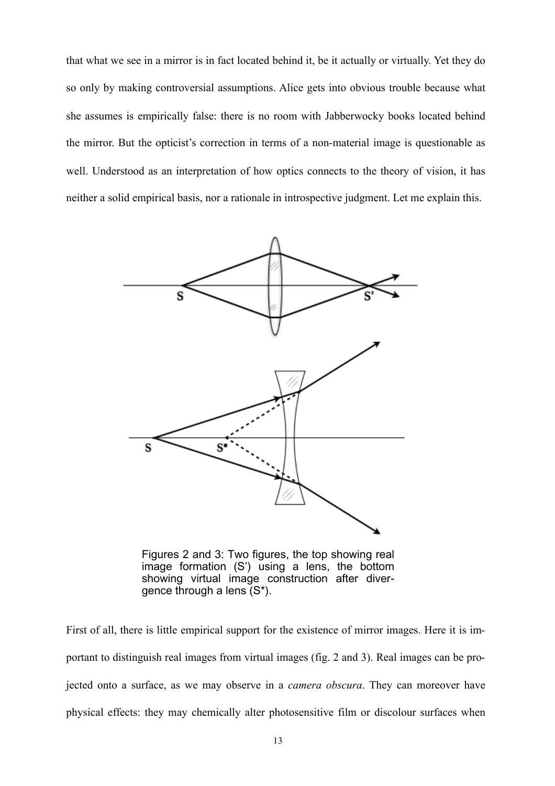that what we see in a mirror is in fact located behind it, be it actually or virtually. Yet they do so only by making controversial assumptions. Alice gets into obvious trouble because what she assumes is empirically false: there is no room with Jabberwocky books located behind the mirror. But the opticist's correction in terms of a non-material image is questionable as well. Understood as an interpretation of how optics connects to the theory of vision, it has neither a solid empirical basis, nor a rationale in introspective judgment. Let me explain this.



Figures 2 and 3: Two figures, the top showing real image formation (S') using a lens, the bottom showing virtual image construction after divergence through a lens (S\*).

First of all, there is little empirical support for the existence of mirror images. Here it is important to distinguish real images from virtual images (fig. 2 and 3). Real images can be projected onto a surface, as we may observe in a *camera obscura*. They can moreover have physical effects: they may chemically alter photosensitive film or discolour surfaces when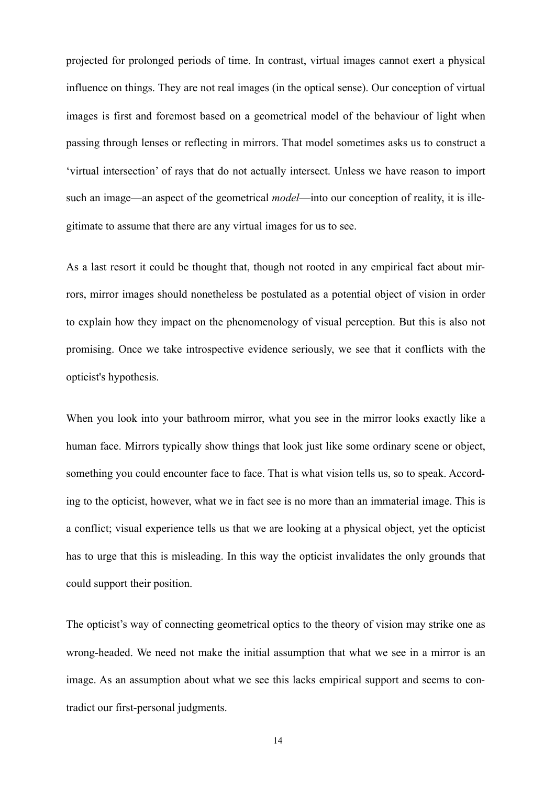projected for prolonged periods of time. In contrast, virtual images cannot exert a physical influence on things. They are not real images (in the optical sense). Our conception of virtual images is first and foremost based on a geometrical model of the behaviour of light when passing through lenses or reflecting in mirrors. That model sometimes asks us to construct a 'virtual intersection' of rays that do not actually intersect. Unless we have reason to import such an image—an aspect of the geometrical *model*—into our conception of reality, it is illegitimate to assume that there are any virtual images for us to see.

As a last resort it could be thought that, though not rooted in any empirical fact about mirrors, mirror images should nonetheless be postulated as a potential object of vision in order to explain how they impact on the phenomenology of visual perception. But this is also not promising. Once we take introspective evidence seriously, we see that it conflicts with the opticist's hypothesis.

When you look into your bathroom mirror, what you see in the mirror looks exactly like a human face. Mirrors typically show things that look just like some ordinary scene or object, something you could encounter face to face. That is what vision tells us, so to speak. According to the opticist, however, what we in fact see is no more than an immaterial image. This is a conflict; visual experience tells us that we are looking at a physical object, yet the opticist has to urge that this is misleading. In this way the opticist invalidates the only grounds that could support their position.

The opticist's way of connecting geometrical optics to the theory of vision may strike one as wrong-headed. We need not make the initial assumption that what we see in a mirror is an image. As an assumption about what we see this lacks empirical support and seems to contradict our first-personal judgments.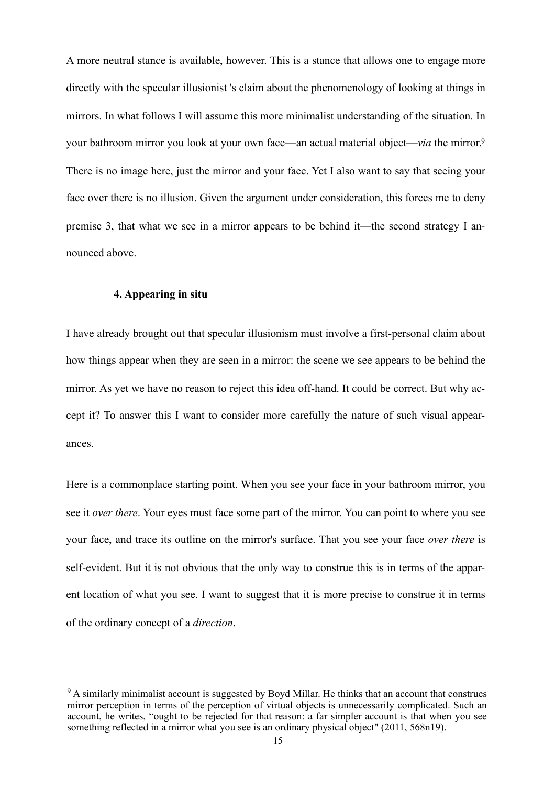A more neutral stance is available, however. This is a stance that allows one to engage more directly with the specular illusionist 's claim about the phenomenology of looking at things in mirrors. In what follows I will assume this more minimalist understanding of the situation. In your bathroom mirror you look at your own face—an actual material object—*via* the mirror[.9](#page-14-0) There is no image here, just the mirror and your face. Yet I also want to say that seeing your face over there is no illusion. Given the argument under consideration, this forces me to deny premise 3, that what we see in a mirror appears to be behind it—the second strategy I announced above.

#### <span id="page-14-1"></span>**4. Appearing in situ**

I have already brought out that specular illusionism must involve a first-personal claim about how things appear when they are seen in a mirror: the scene we see appears to be behind the mirror. As yet we have no reason to reject this idea off-hand. It could be correct. But why accept it? To answer this I want to consider more carefully the nature of such visual appearances.

Here is a commonplace starting point. When you see your face in your bathroom mirror, you see it *over there*. Your eyes must face some part of the mirror. You can point to where you see your face, and trace its outline on the mirror's surface. That you see your face *over there* is self-evident. But it is not obvious that the only way to construe this is in terms of the apparent location of what you see. I want to suggest that it is more precise to construe it in terms of the ordinary concept of a *direction*.

<span id="page-14-0"></span><sup>&</sup>lt;sup>[9](#page-14-1)</sup> A similarly minimalist account is suggested by Boyd Millar. He thinks that an account that construes mirror perception in terms of the perception of virtual objects is unnecessarily complicated. Such an account, he writes, "ought to be rejected for that reason: a far simpler account is that when you see something reflected in a mirror what you see is an ordinary physical object" (2011, 568n19).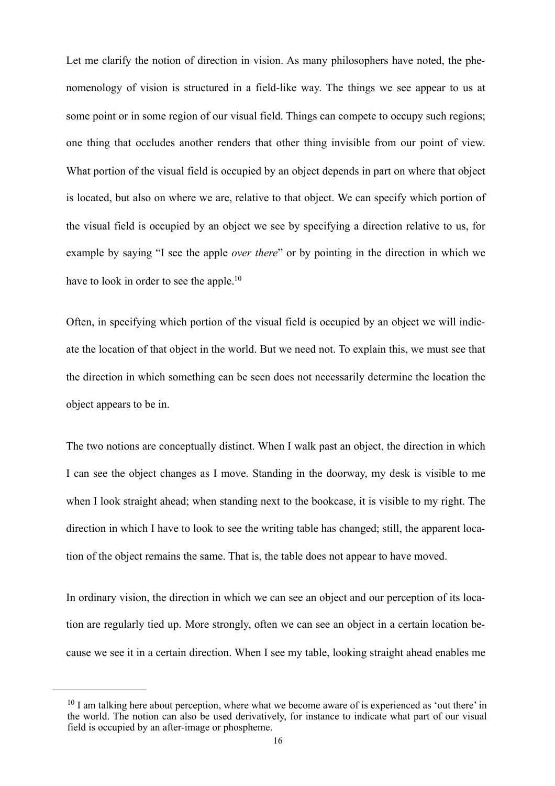Let me clarify the notion of direction in vision. As many philosophers have noted, the phenomenology of vision is structured in a field-like way. The things we see appear to us at some point or in some region of our visual field. Things can compete to occupy such regions; one thing that occludes another renders that other thing invisible from our point of view. What portion of the visual field is occupied by an object depends in part on where that object is located, but also on where we are, relative to that object. We can specify which portion of the visual field is occupied by an object we see by specifying a direction relative to us, for example by saying "I see the apple *over there*" or by pointing in the direction in which we have to look in order to see the apple.<sup>10</sup>

<span id="page-15-1"></span>Often, in specifying which portion of the visual field is occupied by an object we will indicate the location of that object in the world. But we need not. To explain this, we must see that the direction in which something can be seen does not necessarily determine the location the object appears to be in.

The two notions are conceptually distinct. When I walk past an object, the direction in which I can see the object changes as I move. Standing in the doorway, my desk is visible to me when I look straight ahead; when standing next to the bookcase, it is visible to my right. The direction in which I have to look to see the writing table has changed; still, the apparent location of the object remains the same. That is, the table does not appear to have moved.

In ordinary vision, the direction in which we can see an object and our perception of its location are regularly tied up. More strongly, often we can see an object in a certain location because we see it in a certain direction. When I see my table, looking straight ahead enables me

<span id="page-15-0"></span> $10$  I am talking here about perception, where what we become aware of is experienced as 'out there' in the world. The notion can also be used derivatively, for instance to indicate what part of our visual field is occupied by an after-image or phospheme.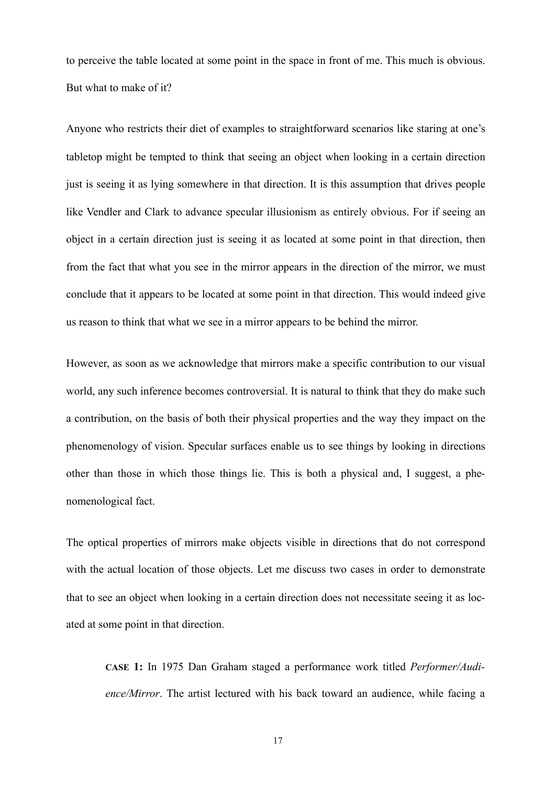to perceive the table located at some point in the space in front of me. This much is obvious. But what to make of it?

Anyone who restricts their diet of examples to straightforward scenarios like staring at one's tabletop might be tempted to think that seeing an object when looking in a certain direction just is seeing it as lying somewhere in that direction. It is this assumption that drives people like Vendler and Clark to advance specular illusionism as entirely obvious. For if seeing an object in a certain direction just is seeing it as located at some point in that direction, then from the fact that what you see in the mirror appears in the direction of the mirror, we must conclude that it appears to be located at some point in that direction. This would indeed give us reason to think that what we see in a mirror appears to be behind the mirror.

However, as soon as we acknowledge that mirrors make a specific contribution to our visual world, any such inference becomes controversial. It is natural to think that they do make such a contribution, on the basis of both their physical properties and the way they impact on the phenomenology of vision. Specular surfaces enable us to see things by looking in directions other than those in which those things lie. This is both a physical and, I suggest, a phenomenological fact.

The optical properties of mirrors make objects visible in directions that do not correspond with the actual location of those objects. Let me discuss two cases in order to demonstrate that to see an object when looking in a certain direction does not necessitate seeing it as located at some point in that direction.

**CASE 1:** In 1975 Dan Graham staged a performance work titled *Performer/Audience/Mirror*. The artist lectured with his back toward an audience, while facing a

17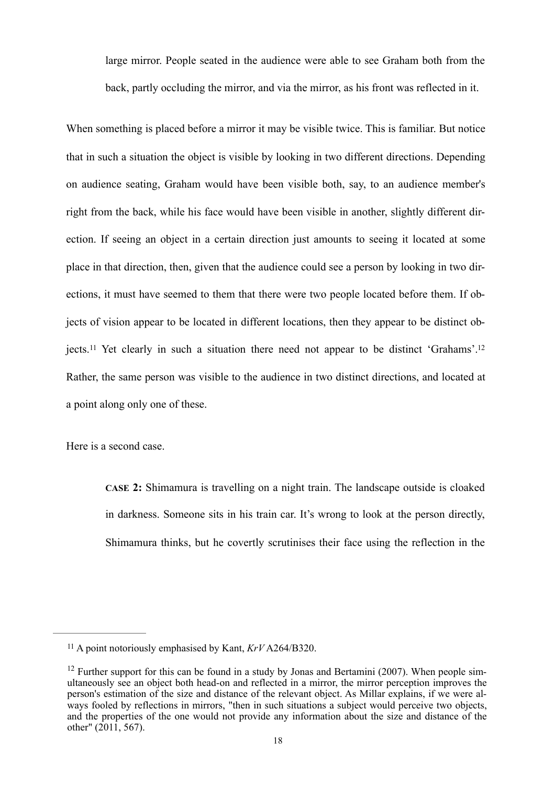large mirror. People seated in the audience were able to see Graham both from the back, partly occluding the mirror, and via the mirror, as his front was reflected in it.

When something is placed before a mirror it may be visible twice. This is familiar. But notice that in such a situation the object is visible by looking in two different directions. Depending on audience seating, Graham would have been visible both, say, to an audience member's right from the back, while his face would have been visible in another, slightly different direction. If seeing an object in a certain direction just amounts to seeing it located at some place in that direction, then, given that the audience could see a person by looking in two directions, it must have seemed to them that there were two people located before them. If objects of vision appear to be located in different locations, then they appear to be distinct ob-jects.<sup>11</sup>Yet clearly in such a situation there need not appear to be distinct 'Grahams'.<sup>[12](#page-17-1)</sup> Rather, the same person was visible to the audience in two distinct directions, and located at a point along only one of these.

<span id="page-17-2"></span>Here is a second case.

<span id="page-17-3"></span>**CASE 2:** Shimamura is travelling on a night train. The landscape outside is cloaked in darkness. Someone sits in his train car. It's wrong to look at the person directly, Shimamura thinks, but he covertly scrutinises their face using the reflection in the

<span id="page-17-0"></span><sup>&</sup>lt;sup>[11](#page-17-2)</sup> A point notoriously emphasised by Kant,  $KrV$  A264/B320.

<span id="page-17-1"></span><sup>&</sup>lt;sup>[12](#page-17-3)</sup> Further support for this can be found in a study by Jonas and Bertamini (2007). When people simultaneously see an object both head-on and reflected in a mirror, the mirror perception improves the person's estimation of the size and distance of the relevant object. As Millar explains, if we were always fooled by reflections in mirrors. "then in such situations a subject would perceive two objects, and the properties of the one would not provide any information about the size and distance of the other"  $(2011, 567)$ .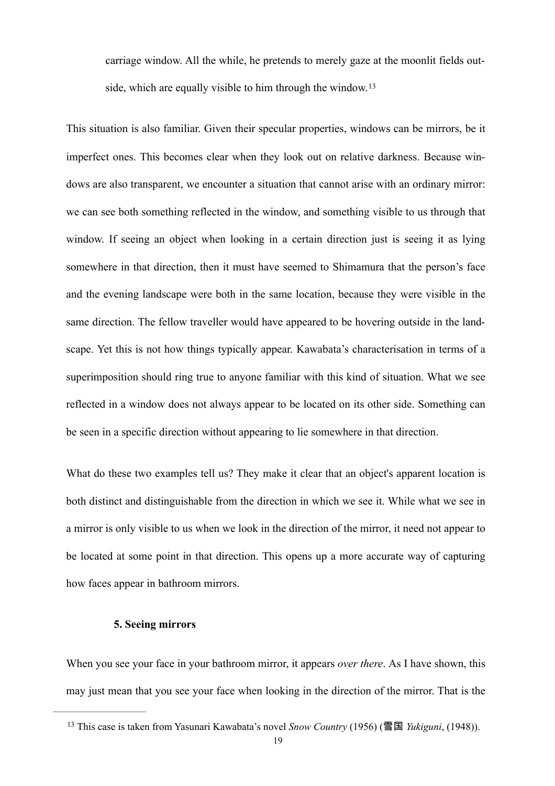<span id="page-18-1"></span>carriage window. All the while, he pretends to merely gaze at the moonlit fields outside, which are equally visible to him through the window.<sup>13</sup>

This situation is also familiar. Given their specular properties, windows can be mirrors, be it imperfect ones. This becomes clear when they look out on relative darkness. Because windows are also transparent, we encounter a situation that cannot arise with an ordinary mirror: we can see both something reflected in the window, and something visible to us through that window. If seeing an object when looking in a certain direction just is seeing it as lying somewhere in that direction, then it must have seemed to Shimamura that the person's face and the evening landscape were both in the same location, because they were visible in the same direction. The fellow traveller would have appeared to be hovering outside in the landscape. Yet this is not how things typically appear. Kawabata's characterisation in terms of a superimposition should ring true to anyone familiar with this kind of situation. What we see reflected in a window does not always appear to be located on its other side. Something can be seen in a specific direction without appearing to lie somewhere in that direction.

What do these two examples tell us? They make it clear that an object's apparent location is both distinct and distinguishable from the direction in which we see it. While what we see in a mirror is only visible to us when we look in the direction of the mirror, it need not appear to be located at some point in that direction. This opens up a more accurate way of capturing how faces appear in bathroom mirrors.

#### **5. Seeing mirrors**

When you see your face in your bathroom mirror, it appears *over there*. As I have shown, this may just mean that you see your face when looking in the direction of the mirror. That is the

<span id="page-18-0"></span>This case is taken from Yasunari Kawabata's novel *Snow Country* (1956) (雪国 *Yukiguni*, (1948)). [13](#page-18-1)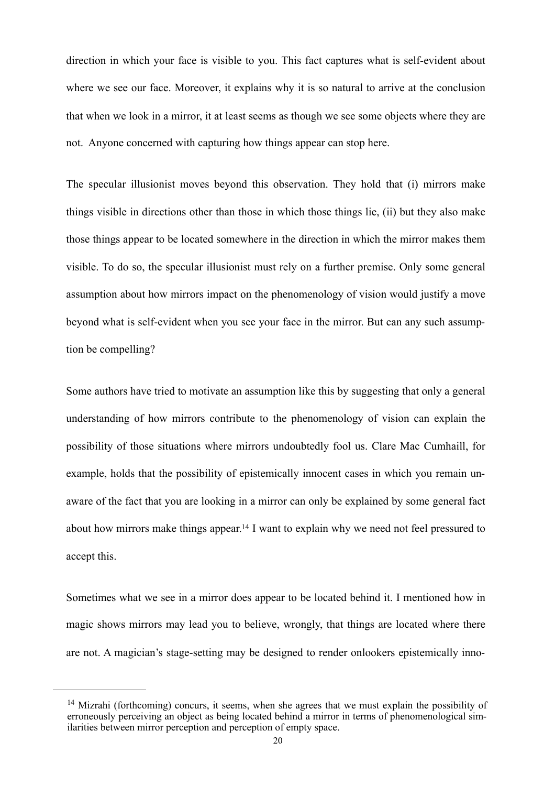direction in which your face is visible to you. This fact captures what is self-evident about where we see our face. Moreover, it explains why it is so natural to arrive at the conclusion that when we look in a mirror, it at least seems as though we see some objects where they are not. Anyone concerned with capturing how things appear can stop here.

The specular illusionist moves beyond this observation. They hold that (i) mirrors make things visible in directions other than those in which those things lie, (ii) but they also make those things appear to be located somewhere in the direction in which the mirror makes them visible. To do so, the specular illusionist must rely on a further premise. Only some general assumption about how mirrors impact on the phenomenology of vision would justify a move beyond what is self-evident when you see your face in the mirror. But can any such assumption be compelling?

Some authors have tried to motivate an assumption like this by suggesting that only a general understanding of how mirrors contribute to the phenomenology of vision can explain the possibility of those situations where mirrors undoubtedly fool us. Clare Mac Cumhaill, for example, holds that the possibility of epistemically innocent cases in which you remain unaware of the fact that you are looking in a mirror can only be explained by some general fact about how mirrors make things appear[.](#page-19-0)<sup>[14](#page-19-0)</sup> I want to explain why we need not feel pressured to accept this.

<span id="page-19-1"></span>Sometimes what we see in a mirror does appear to be located behind it. I mentioned how in magic shows mirrors may lead you to believe, wrongly, that things are located where there are not. A magician's stage-setting may be designed to render onlookers epistemically inno-

<span id="page-19-0"></span><sup>&</sup>lt;sup>[14](#page-19-1)</sup> Mizrahi (forthcoming) concurs, it seems, when she agrees that we must explain the possibility of erroneously perceiving an object as being located behind a mirror in terms of phenomenological similarities between mirror perception and perception of empty space.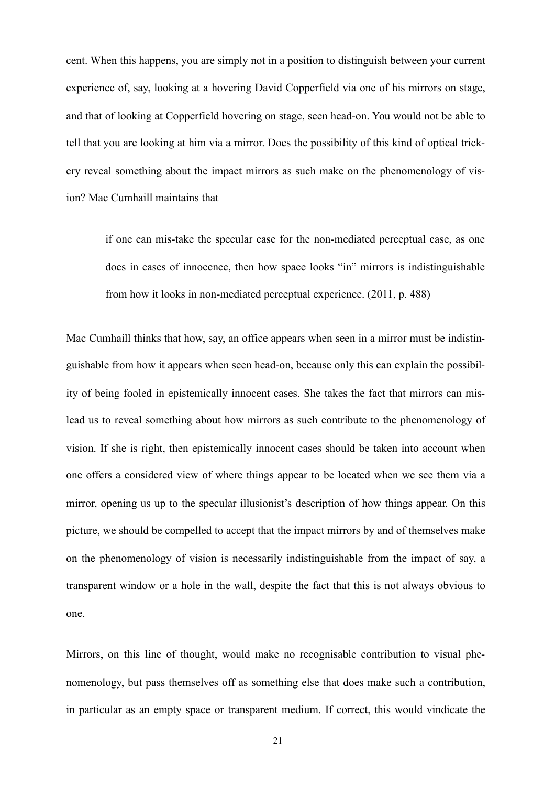cent. When this happens, you are simply not in a position to distinguish between your current experience of, say, looking at a hovering David Copperfield via one of his mirrors on stage, and that of looking at Copperfield hovering on stage, seen head-on. You would not be able to tell that you are looking at him via a mirror. Does the possibility of this kind of optical trickery reveal something about the impact mirrors as such make on the phenomenology of vision? Mac Cumhaill maintains that

if one can mis-take the specular case for the non-mediated perceptual case, as one does in cases of innocence, then how space looks "in" mirrors is indistinguishable from how it looks in non-mediated perceptual experience. (2011, p. 488)

Mac Cumhaill thinks that how, say, an office appears when seen in a mirror must be indistinguishable from how it appears when seen head-on, because only this can explain the possibility of being fooled in epistemically innocent cases. She takes the fact that mirrors can mislead us to reveal something about how mirrors as such contribute to the phenomenology of vision. If she is right, then epistemically innocent cases should be taken into account when one offers a considered view of where things appear to be located when we see them via a mirror, opening us up to the specular illusionist's description of how things appear. On this picture, we should be compelled to accept that the impact mirrors by and of themselves make on the phenomenology of vision is necessarily indistinguishable from the impact of say, a transparent window or a hole in the wall, despite the fact that this is not always obvious to one.

Mirrors, on this line of thought, would make no recognisable contribution to visual phenomenology, but pass themselves off as something else that does make such a contribution, in particular as an empty space or transparent medium. If correct, this would vindicate the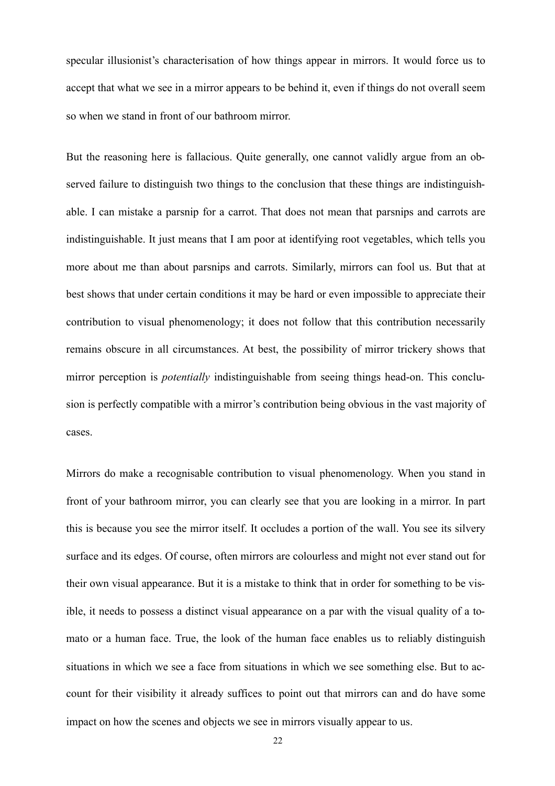specular illusionist's characterisation of how things appear in mirrors. It would force us to accept that what we see in a mirror appears to be behind it, even if things do not overall seem so when we stand in front of our bathroom mirror.

But the reasoning here is fallacious. Quite generally, one cannot validly argue from an observed failure to distinguish two things to the conclusion that these things are indistinguishable. I can mistake a parsnip for a carrot. That does not mean that parsnips and carrots are indistinguishable. It just means that I am poor at identifying root vegetables, which tells you more about me than about parsnips and carrots. Similarly, mirrors can fool us. But that at best shows that under certain conditions it may be hard or even impossible to appreciate their contribution to visual phenomenology; it does not follow that this contribution necessarily remains obscure in all circumstances. At best, the possibility of mirror trickery shows that mirror perception is *potentially* indistinguishable from seeing things head-on. This conclusion is perfectly compatible with a mirror's contribution being obvious in the vast majority of cases.

Mirrors do make a recognisable contribution to visual phenomenology. When you stand in front of your bathroom mirror, you can clearly see that you are looking in a mirror. In part this is because you see the mirror itself. It occludes a portion of the wall. You see its silvery surface and its edges. Of course, often mirrors are colourless and might not ever stand out for their own visual appearance. But it is a mistake to think that in order for something to be visible, it needs to possess a distinct visual appearance on a par with the visual quality of a tomato or a human face. True, the look of the human face enables us to reliably distinguish situations in which we see a face from situations in which we see something else. But to account for their visibility it already suffices to point out that mirrors can and do have some impact on how the scenes and objects we see in mirrors visually appear to us.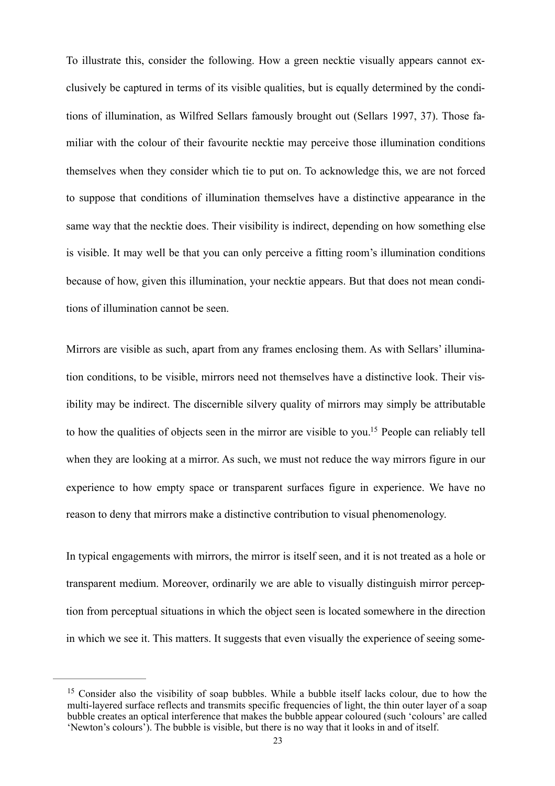To illustrate this, consider the following. How a green necktie visually appears cannot exclusively be captured in terms of its visible qualities, but is equally determined by the conditions of illumination, as Wilfred Sellars famously brought out (Sellars 1997, 37). Those familiar with the colour of their favourite necktie may perceive those illumination conditions themselves when they consider which tie to put on. To acknowledge this, we are not forced to suppose that conditions of illumination themselves have a distinctive appearance in the same way that the necktie does. Their visibility is indirect, depending on how something else is visible. It may well be that you can only perceive a fitting room's illumination conditions because of how, given this illumination, your necktie appears. But that does not mean conditions of illumination cannot be seen.

<span id="page-22-1"></span>Mirrors are visible as such, apart from any frames enclosing them. As with Sellars' illumination conditions, to be visible, mirrors need not themselves have a distinctive look. Their visibility may be indirect. The discernible silvery quality of mirrors may simply be attributable to how the qualities of objects seen in the mirror are visible to you[.](#page-22-0)<sup>[15](#page-22-0)</sup> People can reliably tell when they are looking at a mirror. As such, we must not reduce the way mirrors figure in our experience to how empty space or transparent surfaces figure in experience. We have no reason to deny that mirrors make a distinctive contribution to visual phenomenology.

In typical engagements with mirrors, the mirror is itself seen, and it is not treated as a hole or transparent medium. Moreover, ordinarily we are able to visually distinguish mirror perception from perceptual situations in which the object seen is located somewhere in the direction in which we see it. This matters. It suggests that even visually the experience of seeing some-

<span id="page-22-0"></span> $15$  Consider also the visibility of soap bubbles. While a bubble itself lacks colour, due to how the multi-layered surface reflects and transmits specific frequencies of light, the thin outer layer of a soap bubble creates an optical interference that makes the bubble appear coloured (such 'colours' are called 'Newton's colours'). The bubble is visible, but there is no way that it looks in and of itself.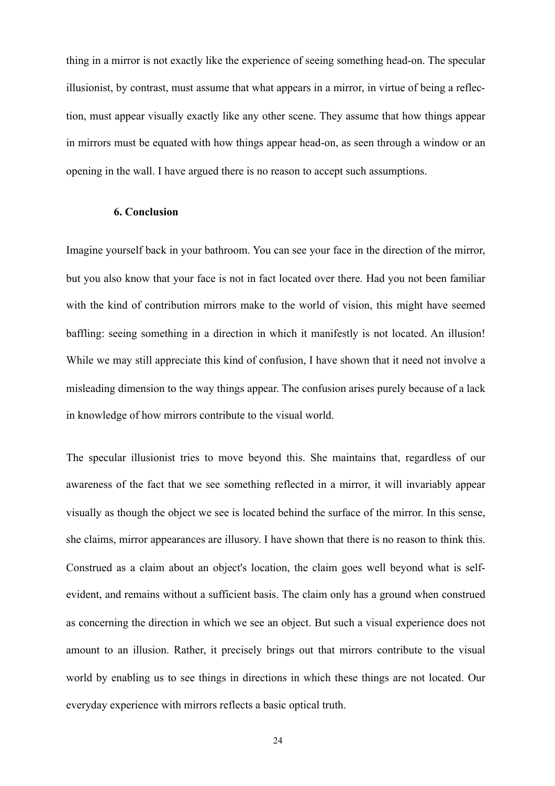thing in a mirror is not exactly like the experience of seeing something head-on. The specular illusionist, by contrast, must assume that what appears in a mirror, in virtue of being a reflection, must appear visually exactly like any other scene. They assume that how things appear in mirrors must be equated with how things appear head-on, as seen through a window or an opening in the wall. I have argued there is no reason to accept such assumptions.

## **6. Conclusion**

Imagine yourself back in your bathroom. You can see your face in the direction of the mirror, but you also know that your face is not in fact located over there. Had you not been familiar with the kind of contribution mirrors make to the world of vision, this might have seemed baffling: seeing something in a direction in which it manifestly is not located. An illusion! While we may still appreciate this kind of confusion, I have shown that it need not involve a misleading dimension to the way things appear. The confusion arises purely because of a lack in knowledge of how mirrors contribute to the visual world.

The specular illusionist tries to move beyond this. She maintains that, regardless of our awareness of the fact that we see something reflected in a mirror, it will invariably appear visually as though the object we see is located behind the surface of the mirror. In this sense, she claims, mirror appearances are illusory. I have shown that there is no reason to think this. Construed as a claim about an object's location, the claim goes well beyond what is selfevident, and remains without a sufficient basis. The claim only has a ground when construed as concerning the direction in which we see an object. But such a visual experience does not amount to an illusion. Rather, it precisely brings out that mirrors contribute to the visual world by enabling us to see things in directions in which these things are not located. Our everyday experience with mirrors reflects a basic optical truth.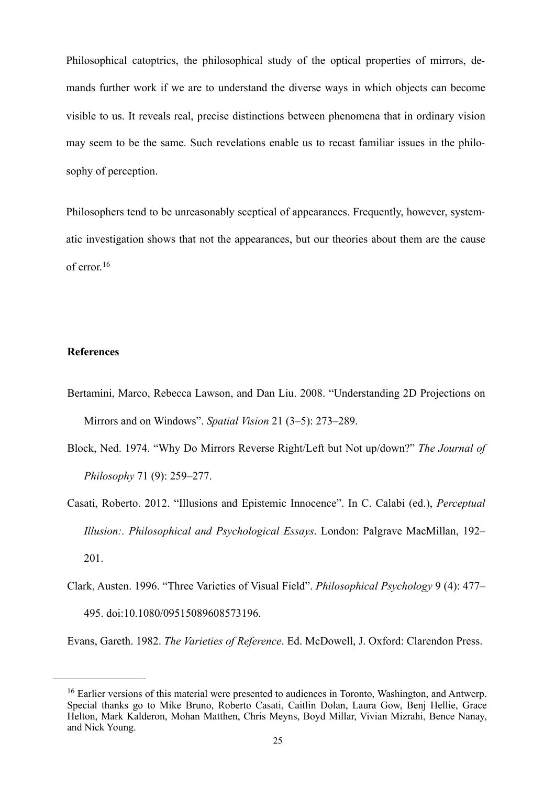Philosophical catoptrics, the philosophical study of the optical properties of mirrors, demands further work if we are to understand the diverse ways in which objects can become visible to us. It reveals real, precise distinctions between phenomena that in ordinary vision may seem to be the same. Such revelations enable us to recast familiar issues in the philosophy of perception.

Philosophers tend to be unreasonably sceptical of appearances. Frequently, however, systematic investigation shows that not the appearances, but our theories about them are the cause of error.[16](#page-24-0)

### <span id="page-24-1"></span>**References**

- Bertamini, Marco, Rebecca Lawson, and Dan Liu. 2008. "Understanding 2D Projections on Mirrors and on Windows". *Spatial Vision* 21 (3–5): 273–289.
- Block, Ned. 1974. "Why Do Mirrors Reverse Right/Left but Not up/down?" *The Journal of Philosophy* 71 (9): 259–277.
- Casati, Roberto. 2012. "Illusions and Epistemic Innocence". In C. Calabi (ed.), *Perceptual Illusion:. Philosophical and Psychological Essays*. London: Palgrave MacMillan, 192– 201.
- Clark, Austen. 1996. "Three Varieties of Visual Field". *Philosophical Psychology* 9 (4): 477– 495. doi:10.1080/09515089608573196.

Evans, Gareth. 1982. *The Varieties of Reference*. Ed. McDowell, J. Oxford: Clarendon Press.

<span id="page-24-0"></span><sup>&</sup>lt;sup>[16](#page-24-1)</sup> Earlier versions of this material were presented to audiences in Toronto, Washington, and Antwerp. Special thanks go to Mike Bruno, Roberto Casati, Caitlin Dolan, Laura Gow, Benj Hellie, Grace Helton, Mark Kalderon, Mohan Matthen, Chris Meyns, Boyd Millar, Vivian Mizrahi, Bence Nanay, and Nick Young.